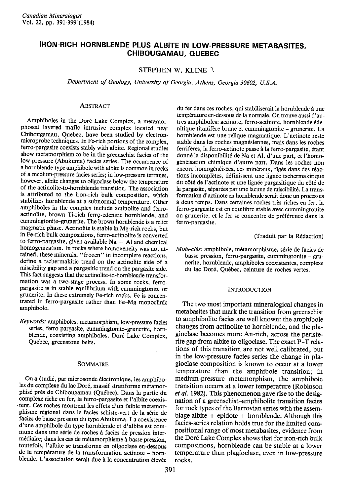# IRON-RICH HORNBLENDE PLUS ALBITE IN LOW-PRESSURE METABASITES, CHIBOUGAMAU, OUEBEC

## STEPHEN W. KLINE  $\lambda$

Department of Geology, University of Georgia, Athens, Georgia 30602, U.S.A.

#### **ABSTRACT**

Amphiboles in the Doré Lake Complex, a metamorphosed layered mafic intrusive complex located near Chibougamau, Quebec, have been studied by electronmicroprobe techniques. In Fe-rich portions of the complex, ferro-pargasite coexists stably with albite. Regional studies show metamorphism to be in the greenschist facies of the low-pressure (Abukuma) facies series. The occurrence of a hornblende-type amphibole with albite is common in rocks of a medium-pressure facies series; in low-pressure terranes, however, albite changes to oligoclase below the temperature of the actinolite-to-hornblende transition. The association is attributed to the iron-rich bulk composition, which stabilizes hornblende at a subnormal temperature. Other amphiboles in the complex include actinolite and ferroactinolite, brown Ti-rich ferro-edenitic hornblende. and cummingtonite-grunerite, The brown hornblende is a relict magmatic phase. Actinolite is stable in Mg-rich rocks, bur in Fe-rich bulk compositions, ferro-actinolite is converted to ferro-pargasite, given available  $Na + Al$  and chemical homogenization. In rocks where homogeneity was not attained, these minerals, "fiozen" in incomplete reactions, define a tschermakitic trend on the actinolite side of a miscibility gap and a pargasitic trend on the pargasite side. This fact suggests that the actinolite-to-hornblende transformation was a two-stage process. In some rocks. ferropargasite is in stable equilibrium with cummingtonite or grunerite. In these extremely Fe-rich rocks, Fe is concentrated in ferro-pargasite rather than Fe-Mg monoclinic amphibole.

Keywords: amphiboles, metamorphism, low-pressure facies series, ferro-pargasite, cummingtonite-grunerite, hornblende, coexisting amphiboles, Doré Lake Complex, Quebec, greenstone belts.

#### SOMMAIRE

On a étudié, par microsonde électronique, les amphiboles du complexe du lac Doré, massif stratiforme métamorphisé près de Chibougamau (Québec). Dans la partie du complexe riche en fer, la ferro-pargasite et I'albite coexis tent. Ces roches montrent les effets d'un faible métamorphisme régional dans le facies schiste-vert de la série de facies de basse pression du type Abukuma. La coexistence d'une amphibole du type hornblende et d'albite est commune dans une série de roches à facies de pression intermédiaire; dans les cas de métamorphisme à basse pression, toutefois, l'albite se transforme en oligoclase en-dessous de la température de la transformation actinote - hornblende. L'association serait due à la concentration élevée

du fer dans ces roches, qui stabiliserait la hornblende à une température en-dessous de la normale. On trouve aussi d'autres amphiboles: actinote, ferro-actinote, hornblende édenitique titanifère brune et cummingtonite – grunerite. La hornblende est une relique magmatique. L'actinote reste stable dans les roches magnésiennes, mais dans les roches ferrifères, la ferro-actinote passe à la ferro-pargasite, étant donné la disponibilité de Na et Al, d'une part, et l'homogénéisation chimique d'autre part. Dans les roches non encore homogénéisées, ces minéraux, figés dans des réactions incomplètes, définissent une lignée tschermakitique du côté de l'actinote et une lignée pargasitique du côté de la pargasite, séparées par une lacune de miscibilité. La transformation d'actinote en hornblende serait donc un processus à deux temps. Dans certaines roches très riches en fer, la ferro-pargasite est en 6quilibre stable avec cummingtonite ou grunerite, et le fer se concentre de préférence dans la ferro-pargasite.

(Traduit par la Rédaction)

Mots-clés: amphibole, métamorphisme, série de facies de basse pression, ferro-pargasite, cummingtonite - grunerite, hornblende, amphiboles coexistantes, complexe du lac Dor6, Qu6bec, ceinture de roches vertes.

#### **INTRODUCTION**

The two most important mineralogical changes in metabasites that mark the transition from greenschist to amphibolite facies are well known: the amphibole changes from actinolite to hornblende, and the plagioclase becomes more An-rich, across the peristerite gap from albite to oligoclase. The exact P-T relations of this transition are not well calibrated, but in the low-pressure facies series the change in plagioclase composition is known to occur at a lower temperature than the amphibole transition; in medium-pressure metamorphism, the amphibole transition occurs at a lower temperature (Robinson et al. 1982). This phenomenon gave rise to the designation of a greenschist-amphibolite transition facies for rock types of the Barrovian series with the assemblage albite  $+$  epidote  $+$  hornblende. Although this facies-series relation holds true for the limited compositional range of most metabasites, evidence from the Dor6 Lake Complex shows that for iron-rich bulk compositions, hornblende can be stable at a lower temperature than plagioclase, even in low-pressure rocks.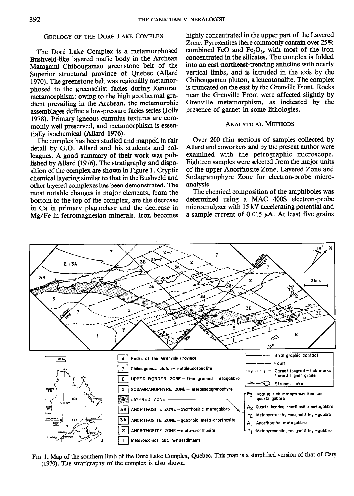# GEOLOGY OF THE DORÉ LAKE COMPLEX

The Doré Lake Complex is a metamorphosed Bushveld-like layered mafic body in the Archean Matagami-Chibougamau greenstone belt of the Superior structural province of Quebec (Allard 1970). The greenstone belt was regionally metamorphosed to the greenschist facies during Kenoran metamorphism; owing to the high geothermal gradient prevailing in the Archean, the metamorphic assemblages define a low-pressure facies series (Jolly 1978). Primary igneous cumulus textures are commonly well preserved, and metamorphism is essentially isochemical (Allard 1976).

The complex has been studied and mapped in fair detail by G.O. Allard and his students and colleagues. A good surnmary of their work was published by Allard (1970. The stratigraphy and disposition of the complex are shown in Figure l. Cryptic chemical layering similar to that in the Bushveld and other layered complexes has been demonstrated. The most notable changes in major elements, from the bottom to the top of the complex, are the decrease in Ca in primary plagioclase and the decrease in Mg/Fe in ferromagnesian minerals. Iron becomes

highly concentrated in the upper part of the Layered Zone. Pyroxenites there commonly contain over 25% combined FeO and  $Fe<sub>2</sub>O<sub>3</sub>$ , with most of the iron concentrated in the silicates. The complex is folded into an east-northeast-trending anticline with nearly vertical limbs, and is intruded in the axis by the Chibougamau pluton, a leucotonalite. The complex is truncated on the east by the Grenville Front. Rocks near the Grenville Front were affected slightly by Grenville metamorphism, as indicated by the presence of garnet in some lithologies.

### ANALYTICAL METHODS

Over 200 thin sections of samples collected by Allard and coworkers and by the present author were examined with the petrographic microscope. Eigbteen samples were selected from the major units of the upper Anorthosite Zone, Layered Zone and Sodagranophyre Zone for electron-probe microanalysis.

The chemical composition of the amphiboles was determined using a MAC 4005 electron-probe microanalyzer with 15 kV accelerating potential and a sample current of 0.015  $\mu$ A. At least five grains



FIG. 1. Map of the southern limb of the Doré Lake Complex, Quebec. This map is a simplified version of that of Caty (1970). The stratigraphy of the complex is also shown.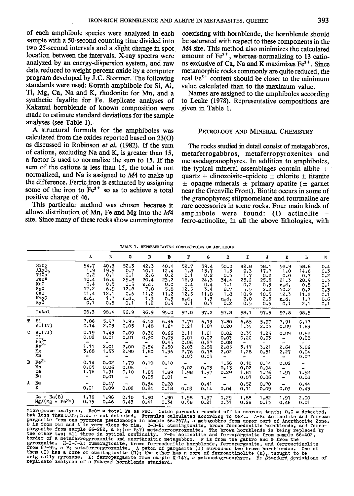of each amphibole species were analyzed in each sample with a 50-second counting time divided inro two 25-second intervals and a slight change in spot location between the intervals. X-ray spectra were analyzed by an energy-dispersion system, and raw data reduced to weight percent oxide by a computer program developed by J.C. Stormer. The following standards were used: Korath amphibole for Si, Al, Ti, Mg, Ca, Na and K, rhodonite for Mn, and a synthetic fayalite for Fe. Replicate analyses of Kakanui hornblende of known composition were made to estimate standard deviations for the sample analyses (see Table l).

A structural formula for the amphiboles was calculated from the oxides reported based on 23(O) as discussed in Robinson et al. (1982). If the sum of cations, excluding Na and K, is greater than 15, a factor is used to normalize the sum to 15. If the sum of the cations is less than 15, the total is nor normalized, and Na is assigned to M4 to make up the difference. Ferric iron is estimated by assigning some of the iron to  $Fe<sup>3+</sup>$  so as to achieve a total positive charge of 46.

This particular method was chosen because it allows distribution of Mn, Fe and Mg into the  $M4$ site. Since many of these rocks show cummingtonite

coexisting with hornblende, the hornblende should be saturated with respect to these components in the M4 site. This method also minimizes the calculated amount of  $Fe<sup>3+</sup>$ , whereas normalizing to 13 cations exclusive of Ca, Na and K maximizes  $Fe<sup>3+</sup>$ . Since metamorphic rocks commonly are quite reduced, the real  $Fe<sup>3+</sup>$  content should be closer to the minimum value calculated than to the maximum value.

Names are assigned to the amphiboles according to Leake (1978). Representative compositions are given in Table 1.

#### PETROLOGY AND MINERAL CHEMISTRY

The rocks studied in detail consist of metagabbros, metaferrogabbros, metaferropyroxenites and metasodagranophyres. In addition to amphiboles, the typical mineral assemblages contain albite  $+$ quartz + clinozoisite-epidote  $\pm$  chlorite  $\pm$  titanite  $\pm$  opaque minerals  $\pm$  primary apatite ( $\pm$  garnet near the Grenville Front). Biotite occurs in some of the granophyres; stilpnomelane and tourmaline are rare accessories in some rocks. Four main kinds of amphibole were found: (l) actinolite ferro-actinolite, in all the above lithologies, with

|   |                                                                                            | A                                                                | в                                                               | c                                                               | D                                                                | Е                                                               | F                                                                | G                                                               | н                                                              | I                                                                             | J                                                               | к                                                                        | T.                                                              | M                                                            |
|---|--------------------------------------------------------------------------------------------|------------------------------------------------------------------|-----------------------------------------------------------------|-----------------------------------------------------------------|------------------------------------------------------------------|-----------------------------------------------------------------|------------------------------------------------------------------|-----------------------------------------------------------------|----------------------------------------------------------------|-------------------------------------------------------------------------------|-----------------------------------------------------------------|--------------------------------------------------------------------------|-----------------------------------------------------------------|--------------------------------------------------------------|
|   | SiO <sub>2</sub><br>A1203<br>T102<br>Fe0*<br>MnO<br>MgO<br>CaO<br>Na <sub>2</sub> 0<br>K2Ō | 54.7<br>1.9<br>0.2<br>10.4<br>0.4<br>17.2<br>11.4<br>n.d.<br>0.1 | 40.3<br>19.9<br>0.1<br>16.4<br>0.5<br>6.9<br>12.1<br>1.7<br>0.5 | 52.3<br>0.7<br>0.1<br>29.8<br>0.5<br>12,8<br>0.6<br>n.d.<br>0.1 | 42.3<br>10.1<br>2.6<br>20.4<br>n.d.<br>7.8<br>11.2<br>1.3<br>1,2 | 40.4<br>12.4<br>0.2<br>23.2<br>0.0<br>5.8<br>11.2<br>0.9<br>0.9 | 52.7<br>1.8<br>0,1<br>16.9<br>0.4<br>12.5<br>12.5<br>n.d.<br>0.1 | 39.4<br>15.7<br>0.2<br>24.3<br>0.4<br>3.4<br>11.8<br>1.3<br>0.7 | 50.0<br>1.3<br>0.3<br>34.4<br>1.1<br>8.7<br>1,8<br>n.d.<br>0.2 | 42.8<br>9.3<br>1.7<br>25.2<br>0.2<br>5.5<br>10.9<br>2,0<br>0.5                | 38.1<br>17.7<br>0.2<br>25.5<br>0.3<br>2.2<br>10.5<br>2.5<br>0.5 | 52.9<br>1.0<br>0.0<br>21.3<br>n.d.<br>10.2<br>12.3<br>n.d.<br>0.1        | 38.6<br>14.6<br>0.7<br>28.9<br>0.5<br>0.2<br>11.2<br>1.7<br>2.1 | 0.4<br>0.3<br>0, 2<br>0.3<br>0.1<br>0.3<br>0.1<br>0.6<br>0.1 |
|   | Total                                                                                      | 96.3                                                             | 98.4                                                            | 96.9                                                            | 96.9                                                             | 95.0                                                            | 97.0                                                             | 97.2                                                            | 97.8                                                           | 98.1                                                                          | 97.5                                                            | 97.8                                                                     | 98.5                                                            |                                                              |
| т | S1<br>AL(IV)                                                                               | 7.86<br>0.14                                                     | 5.97<br>2.03                                                    | 7.95<br>0.05                                                    | 6.52<br>1,48                                                     | 6.36<br>1.64                                                    | 7.79<br>0.21                                                     | 6.13<br>1.87                                                    | 7.80<br>0.20                                                   | 6.65<br>1.35                                                                  | 5.97<br>2.03                                                    | 7.91<br>0.09                                                             | 6.17<br>1.83                                                    |                                                              |
| С | AI(VI)<br>$T_1$<br>$F_2$<br>$F_3$<br>$F_4$<br>Mg<br>Mn                                     | 0.19<br>0.02<br>$\blacksquare$<br>1.11<br>3.68<br>$\blacksquare$ | 1.45<br>0.01<br>$\overline{\phantom{a}}$<br>2.01<br>1.53<br>۰   | 0.09<br>0.01<br>$\blacksquare$<br>2.00<br>2.90<br>-             | 0.36<br>0.30<br>$\overline{\phantom{a}}$<br>2.54<br>1,80<br>۰    | 0.66<br>0.03<br>0.45<br>2.50<br>1.36<br>÷                       | 0.11<br>0.01<br>0.06<br>2.03<br>2.76<br>0.03                     | 1.01<br>0.02<br>0.27<br>2.89<br>0.78<br>0.03                    | 0.02<br>0.03<br>0.08<br>2.85<br>2.02<br>$\blacksquare$         | 0.35<br>0.20<br>$\overline{\phantom{0}}$<br>3.17<br>1,28<br>$\qquad \qquad =$ | 1.25<br>0.03<br>٠<br>3.21<br>0.51<br>$\blacksquare$             | 0.09<br>-<br>$\overline{\phantom{0}}$<br>2,64<br>2,27<br>$\blacksquare$  | 0.92<br>0.08<br>$\blacksquare$<br>3.86<br>0.04<br>0.07          |                                                              |
| B | $Fe2+$<br>Мn<br>Ca<br>Nа                                                                   | 0.14<br>0.05<br>1.76<br>-                                        | 0.02<br>0.06<br>1.91<br>0.01                                    | 1.79<br>0.06<br>0,10<br>-                                       | 0.10<br>$\frac{1}{2}$<br>1.85<br>0.05                            | 0,10<br>$\qquad \qquad \blacksquare$<br>1.89<br>0.01            | 0.02<br>1.98<br>$\blacksquare$                                   | ۰.<br>0.03<br>1.97<br>۰                                         | 1.56<br>0.15<br>0.29<br>-                                      | 0.10<br>0.02<br>1.81<br>0.07                                                  | 0.14<br>0.04<br>1.76<br>0.06                                    | 0.02<br>$\overline{\phantom{0}}$<br>1.97<br>$\qquad \qquad \blacksquare$ | -<br>$\overline{\phantom{0}}$<br>1.92<br>0.08                   |                                                              |
| A | Nа<br>K                                                                                    | 0.01                                                             | 0.47<br>0.09                                                    | -<br>0.02                                                       | 0.34<br>0.24                                                     | 0.28<br>0.18                                                    | $\blacksquare$<br>0.03                                           | 0,41<br>0.14                                                    | -<br>0.04                                                      | 0.52<br>0.11                                                                  | 0.70<br>0.09                                                    | -<br>0.03                                                                | 0.44<br>0.43                                                    |                                                              |
|   | Na(B)<br>Ca +<br>$Mg/(Mg + Fe^{2+})$                                                       | 1.76<br>0.75                                                     | 1.96<br>0.46                                                    | 0.10<br>0.43                                                    | 1,90<br>0.41                                                     | 1.90<br>0.34                                                    | 1.98<br>0.58                                                     | 1.97<br>0.21                                                    | 0.29<br>0.31                                                   | 1,88<br>0.28                                                                  | 1.82<br>0.13                                                    | 1.97<br>0.46                                                             | 2,00<br>0.01                                                    |                                                              |

|  | TABLE 1. REPRESENTATIVE COMPOSITIONS OF AMPHIBOLE |  |  |
|--|---------------------------------------------------|--|--|
|  |                                                   |  |  |

Microprobe analyses. FeO\* = total Fe as FeO. Oxide percents rounded off to nearest tenth; 0.0 = detected,<br>but less than 0.05; n.d. = not detected. Formulas calculated accoording to text. A-B: actinolite and ferroam<br>pargas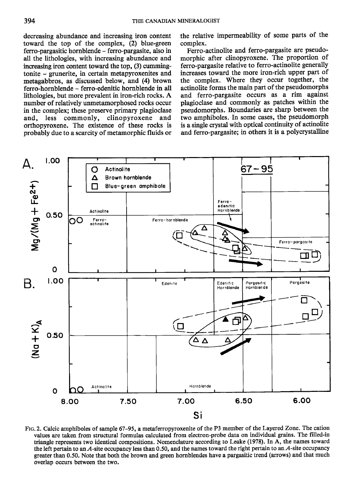decreasing abundance and increasing iron content toward the top of the complex, (2) blue-green ferro-pargasitic hornblende - ferro-pargasite, also in all the lithologies, with increasing abundance and increasing iron content toward the top, (3) cummingtonite - grunerite, in certain metapyroxenites and metagabbros, as discussed below, and (4) brown ferro-hornblende - ferro-edenitic hornblende in all lithologies, but more prevalent in iron-rich rocks. A number of relatively unmetamorphosed rocks occur in the complex; these preserve primary plagioclase and, less commonly, clinopyroxene and orthopyroxene. The existence of these rocks is probably due to a scarcity of metamorphic fluids or the relative impermeability of some parts of the complex.

Ferro-actinolite and ferro-pargasite are pseudomorphic after clinopyroxene. The proportion of ferro-pargasite relative to ferro-actinolite generally increases toward the more iron-rich upper part of the complex. Where they occur together, the actinolite forms the main part of the pseudomorphs and ferro-pargasite occurs as a rim against plagioclase and commonly as patches within the pseudomorphs. Boundaries are sharp between the two amphiboles. In some cases, the pseudomorph is a single crystal with optical continuity of actinolite and ferro-pargasite; in others it is a polycrystalline



FIG. 2. Calcic amphiboles of sample 67-95, a metaferropyroxenite of the P3 member of the Layered Zone. The cation values are taken from structural formulas calculated from electron-probe data on individual grains. The filled-in triangle represents two identical compositions. Nomenclature according to Leake (1978). In A, the names toward the left pertain to an  $A$ -site occupancy less than 0.50, and the names toward the right pertain to an  $A$ -site occupancy greater than 0.50. Note that both the brown and green hornblendes have a pargasitic trend (arrows) and that much overlap occurs between the two.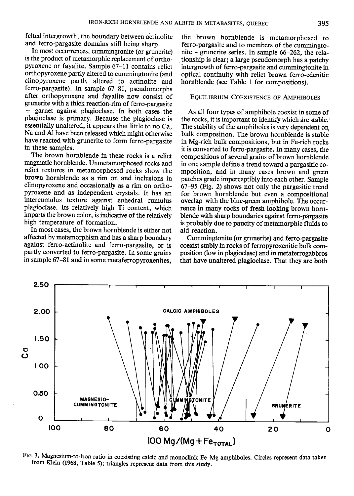felted intergrowth, the boundary between actinolite and ferro-pargasite domains still being sharp.

In most occurrences, cummingtonite (or grunerite) is the product of metamorphic replacement of orthopyroxene or fayalite. Sample 67-11 contains relicr orthopyroxene partly altered to cummingtonite (and clinopyroxene partly altered to actinolite and ferro-pargasite). In sample 67-81, pseudomorphs after orthopyroxene and fayalite now consist of grunerite with a thick reaction-rim of ferro-pargasite + garnet against plagioclase. In both cases the plagioclase is primary. Because the plagioclase is essentially unaltered, it appears that little to no Ca, Na and Al have been released which might otherwise have reacted with grunerite to form ferro-pargasite in these samples.

The brown hornblende in these rocks is a relict magmatic hornblende. Unmetamorphosed rocks and relict textures in metamorphosed rocks show the brown hornblende as a rim on and inclusions in clinopyroxene and occasionally as a rim on orthopyroxene and as independent crystals. It has an intercumulus texture against euhedral cumulus plagioclase. Its relatively high Ti content, which imparts the brown color, is indicative of the relatively high temperature of formation.

In most cases, the brown hornblende is either nor affected by metamorphism and has a sharp boundary against ferro-actinolite and ferro-pargasite, or is partly converted to ferro-pargasite. In some grains in sample 67-81 and in some metaferropyroxenites,

the brown hornblende is metamorphosed to ferro-pargasite and to members of the cummingtonite - grunerite series. In sample 66-262, the relationship is clear; a large pseudomorph has a patchy intergrowth of ferro-pargasite and cummingtonite in optical continuity with relict brown ferro-edenitic hornblende (see Table I for compositions).

#### EQUILIBRIUM COEXISTENCE OF AMPHIBOLES

As all four types of amphibole coexist in some of the rocks, it is important to identify which are stable. The stability of the amphiboles is very dependent on bulk composition. The brown hornblende is stable in Mg-rich bulk compositions, but in Fe-rich rocks it is converted to ferro-pargasite. In many cases, the compositions of several grains of brown hornblende in one sample define a trend toward a pargasitic composition, and in many cases brown and green patches grade imperceptibly into each other. Sample 67-95 (Fig. 2) shows not only the pargasitic trend for brown hornblende but even a compositional overlap with the blue-green amphibole. The occurrence in many rocks of fresh-looking brown hornblende with sharp boundaries against ferro-pargasite is probably due to paucity of metamorphic fluids to aid reaction.

Cummingtonite (or grunerite) and ferro-pargasite coexist stably in rocks of ferropyroxenitic bulk composition (ow in plagioclase) and in metaferrogabbros that have unaltered plagioclase. That they are both



FIG. 3. Magnesium-to-iron ratio in coexisting calcic and monoclinic Fe-Mg amphiboles. Circles represent data taken from Klein (1968, Table 5); triangles represent data from this study.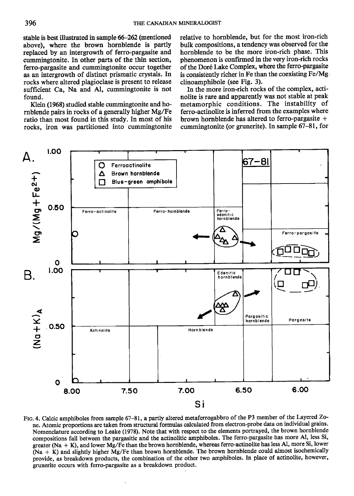stable is best illustrated in sample 66–262 (mentioned above), where the brown hornblende is partly replaced by an intergrowth of ferro-pargasite and cummingtonite. In other parts of the thin section, ferro-pargasite and cummingtonite occur together as an intergrowth of distinct prismatic crystals. In rocks where altered plagioclase is present to release sufficient Ca, Na and Al, cummingtonite is not found.

Klein (1968) studied stable cummingtonite and hornblende pairs in rocks of a generally higher Mg/Fe ratio than most found in this study. In most of his rocks, iron was partitioned into cummingtonite relative to hornblende, but for the most iron-rich bulk compositions, a tendency was observed for the hornblende to be the more iron-rich phase. This phenomenon is confirmed in the very iron-rich rocks of the Doré Lake Complex, where the ferro-pargasite is consistently richer in Fe than the coexisting Fe/Mg clinoamphibole (see Fig. 3).

In the more iron-rich rocks of the complex, actinolite is rare and apparently was not stable at peak metamorphic conditions. The instability of ferro-actinolite is inferred from the examples where brown hornblende has altered to ferro-pargasite + cummingtonite (or grunerite). In sample 67-81, for



Fro.4. Calcic amphiboles from sample 6?-81, a partly altered metaferrogabbro of the P3 member of the Layered Zone. Atomic proportions are taken from structural formulas calculated from electron-probe data on individual grains. Nomenclature according to Leake (1978). Note that with respect to the elements portrayed, the brown hornblende compositions fall between the pargasitic and the actinolitic amphiboles. The ferro-pargasite has more Al, less Si, greater (Na + K), and lower Mg/Fe than the brown hornblende, whereas ferro-actinolite has less A1, more Si, lower (Na + K) and slightly higher Mg/Fe than brown hornblende. The brown hornblende could almost isochemically provide, as breakdown products, tie combination of the other two amphiboles. In place of actinolite, however, grunerite occurs with ferro-pargasite as a breakdown product.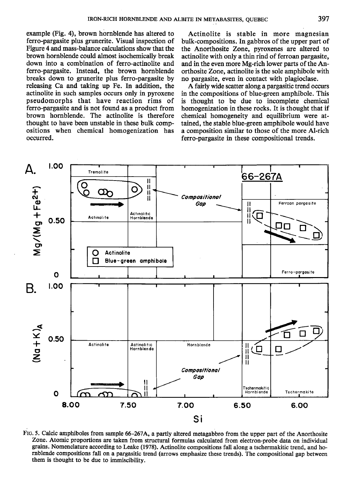example (Fig. 4), brown hornblende has altered to ferro-pargasile plus grunerite. Visual inspection of Figure 4 and mass-balance calculations show that the brown hornblende could almost isochemically break down into a combination of ferro-actinolite and ferro-pargasite. Instead, the brown hornblende breaks down to grunerite plus ferro-pargasite by releasing Ca and taking up Fe. In addition, the actinolite in such samples occurs only in pyroxene pseudomorphs that have reaction rims of ferro-pargasite and is not found as a product from brown hornblende. The actinolite is therefore thought to have been unstable in these bulk compositions when chemical homogenization has occurred.

Actinolite is stable in more magnesian bulk-compositions. In gabbros of the upper part of the Anorthosite Zone, pyroxenes are altered to actinolite with only a thin rind of ferroan pargasite, and in the even more Mg-rich lower parts of the Anorthosite Zone, actinolite is the sole amphibole with no pargasite, even in contact with plagioclase.

A fairly wide scatter along a pargasitic trend occurs in the compositions of blue-green amphibole. This is thought to be due to incomplete chemical homogenization in these rocks. It is thought that if chemical homogeneity and equilibrium were attained, the stable blue-green amphibole would have a composition similar to those of the more Al-rich ferro-pargasite in these compositional trends.



Ftc.5. Calcic amphiboles from sample 66-267A, a partly altered metagabbro from the upper part of the Anorthosite Zone. Atomic proportions are taken from structural formulas calculated from electron-probe data on individual grains. Nomenclature according to Leake (1978). Actinolite compositions fall along a tschermakitic trend, and hornblende compositions fall on a pargasitic trend (arrows emphasize these trends). The compositional gap between them is thought to be due to immiscibility.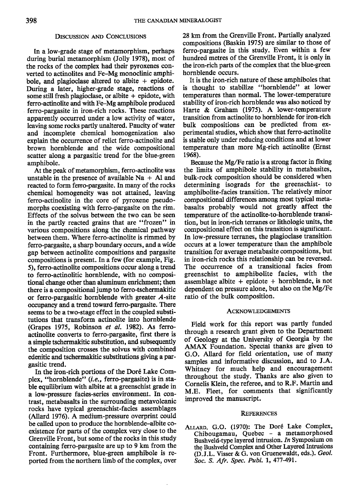# DISCUSSION AND CONCLUSIONS

In a low-grade stage of metamorphism, perhaps during burial metamorphism (Jolly 1978), most of the rocks of the complex had their pyroxenes converted to actinolites and Fe-Mg monoclinic amphibole, and plagioclase altered to albite  $+$  epidote. During a later, higher-grade stage, reactions of some still fresh plagioclase, or albite  $+$  epidote, with ferro-actinolite and with Fe-Mg amphibole produced ferro-pargasite in iron-rich rocks. These reactions apparently occurred under a low activity of water, leaving some rocks partly unaltered. Paucity of water and incomplete chemical homogenization also explain the occurrence of relict ferro-actinolite and brown hornblende and the wide compositional scatter along a pargasitic trend for the blue-green amphibole.

At the peak of metamorphism, ferro-actinolite was unstable in the presence of available  $Na + Al$  and reacted to form femo-pargasite. In many of the rocks chemical homogeneity was not attained, leaving ferro-actinolite in the core of pyroxene pseudomorphs coexisting with ferro-pargasite on the rim. Effects of the solvus between the two can be seen in the partly reacted grains that are "frozen" in various compositions along the chemical pathway between them. Where ferro-actinolite is rimmed by ferro-pargasite, a sharp boundary occurs, and a wide gap between actinolite compositions and pargasite compositions is present. In a few (for example, Fig. 5), ferro-actinolite compositions occur along a trend to ferro-actinolitic hornblende, with no compositional change other than aluminum enrichment; then there is a compositional jump to ferro-tschermakitic or ferro-pargasitic hornblende with greater  $A$ -site occupancy and a trend toward ferro-pargasite. There seems to be a two-stage effect in the coupled substitutions that transform actinolite into hornblende (Grapes 1975, Robinson et al. 1982). As ferroactinolite converts to ferro-pargasite, first there is a simple tschermakitic substitution, and subsequently the composition crosses the solvus with combined edenitic and tschermakitic substitutions giving a pargasitic trend.

In the iron-rich portions of the Doré Lake Complex, "hornblende" (i.e., ferro-pargasite) is in stable equilibrium with albite at a greenschist grade in a low-pressure facies-series environment. In contrast, metabasalts in the surrounding metavolcanic rocks have typical greenschist-facies assemblages (Allard 1970. A medium-pressure overprint could be called upon to produce the hornblende-albite coexistence for parts of the complex very close to the Grenville Front, but some of the rocks in this study containing ferro-pargasite are up to 9 km from the Front. Furthermore, blue-green amphibole is reported from the northern limb of the complex, over 28 km from the Grenville Front. Partially analyzed compositions (Baskin 1975) are similar to those of ferro-pargasite in this study. Even within a few hundred metres of the Grenville Front, it is only in the iron-rich parts of the complex that the blue-green hornblende occurs.

It is the iron-rich nature of these amphiboles that is thought to stabilize "hornblende" at lower temperatures than normal. The lower-temperature stability of iron-rich hornblende was also noticed by Harte & Graham (1975). A lower-temperature transition from actinolite to hornblende for iron-rich bulk compositions can be predicted from experimental studies, which show that ferro-actinolite is stable only under reducing conditions and at lower temperature than more Mg-rich actinolite (Ernst 1968).

Because the Mg,/Fe ratio is a strong factor in fixing the limits of amphibole stability in metabasites, bulk-rock composition should be considered when determining isograds for the greenschist- to amphibolite-facies transition. The relatively minor compositional differences among most typical metabasalts probably would not greatly affect the temperature of the actinolite-to-hornblende transition, but in iron-rich terranes or lithologic units, the compositional effect on this transition is significant. In low-pressure terranes, the plagioclase transition occurs at a lower temperature than the amphibole transition for average metabasite compositions, but in iron-rich rocks this relationship can be reversed. The occurrence of a transitional facies from greenschist to amphibolite facies, wilh the assemblage albite  $+$  epidote  $+$  hornblende, is not dependent on pressure alone, but also on the Mg/Fe ratio of the bulk composition.

#### **ACKNOWLEDGEMENTS**

Field work for this report was partly funded through a research grant given to the Department of Geology at the University of Georgia by the AMAX Foundation. Special thanks are given to G.O. Allard for field orientation, use of many samples and informative discussion, and to J.A. Whitney for much help and encouragement throughout the study. Thanks are also given to Cornelis Klein, the referee, and to R.F. Martin and M.E. Fleet, for comments that significantly improved the manuscript.

#### **REFERENCES**

ALLARD, G.O. (1970): The Doré Lake Complex, Chibougamau, Quebec - a metamorphosed Bushveld-type layered intrusion. In Symposium on the Bushveld Complex and Other Layered Intrusions (D.J.L. Visser & G. von Gruenewaldt, eds.). GeoL Soc. S. Afr. Spec. Publ. 1, 477-491.